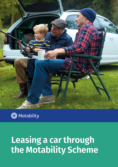



# **Leasing a car through the Motability Scheme**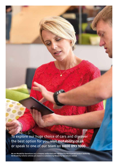To explore our huge choice of cars and discover the best option for you, visit **motability.co.uk** or speak to one of our team on **0800 093 1000**

We are Motability Operations Ltd, a company authorised and regulated by the Financial Conduct Authority. All Motability Scheme vehicles are leased to customers by Motability Operations Limited.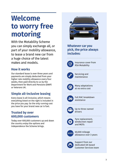# **Welcome to worry free motoring**

With the Motability Scheme you can simply exchange all, or part of your mobility allowance, to lease a brand new car from a huge choice of the latest makes and models.

#### **How it works**

Our standard lease is over three years and payments are simply deducted from your higher rate mobility allowance every four weeks, then paid directly to us by the Department for Work and Pensions (DWP) or Veterans UK.

#### **Simple all-inclusive leasing**

Every lease is all-inclusive, which means everything listed on the right is included in the price you pay. So the only running cost you have for your brand new car is fuel.

#### **Trusted by over 600,000 customers**

Today over 600,000 customers up and down the country enjoy the options and independence the Scheme brings.



#### **Whatever car you pick, the price always includes:**

Insurance cover from RSA Motability



Servicing and maintenance



Many adaptations at no extra cost



Full RAC breakdown assistance



Up to three named drivers



Tyre replacement, windscreen repair and MOTs



60,000 mileage allowance over 3 years



Support from our dedicated UK based Customer Services team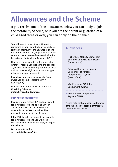# **Allowances and the Scheme**

If you receive one of the allowances below you can apply to join the Motability Scheme, or if you are the parent or guardian of a child aged three or over, you can apply on their behalf.

You will need to have at least 12 months remaining on your award when you apply to join the Scheme. If your allowance is due to end during your lease, you just need to make sure that the allowance is renewed with the Department for Work and Pensions (DWP).

However, if your award is not renewed, for whatever reason, you just hand the car back – you won't be liable for any additional costs and you may be eligible for a £1000 stopped allowance support payment.

If you have any questions regarding your award you should contact the DWP (see page 15).

Find out more about allowances and the Motability Scheme at **motability.co.uk/allowances**.

#### **PIP reassessments**

If you currently receive DLA and are invited for a PIP reassessment, as long as your application is successful and you are awarded ERMC of PIP, you will still be eligible to apply to join the Scheme.

If the DWP has already invited you to apply for a PIP reassessment, you will need to wait for the outcome before applying to join the Scheme.

For more information, visit **motability.co.uk/pip**.

### **Allowances →** Higher Rate Mobility Component of the Disability Living Allowance (HRMC of DLA) **→**Enhanced Rate of the Mobility Component of Personal Independence Payment (ERMC of PIP) **→**War Pensioners' Mobility Supplement (WPMS) **→**Armed Forces Independence Payment (AFIP) Please note that Attendance Allowance cannot be used to lease a car through the Motability Scheme.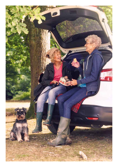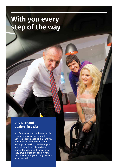## **With you every step of the way**

#### **COVID-19 and dealership visits**

All of our dealers will adhere to social distancing measures in line with Government guidance. This means you must book an appointment before visiting a dealership. The dealer you are visiting will be able to give you more information on the measures they have in place and explain how they are operating within any relevant local restrictions.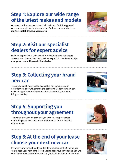## **Step 1: Explore our wide range of the latest makes and models**

Our easy 'online car search tool' will help you find the types of cars you're particularly interested in. Explore our very latest car range at **motability.co.uk/carsearch**.

## **Step 2: Visit our specialist dealers for expert advice**

Make an appointment with one of our dealerships to get expert advice from a trained Motability Scheme specialist. Find dealerships near you at **motability.co.uk/findadealer.**

## **Step 3: Collecting your brand new car**

The specialist at your chosen dealership will complete your order for you. They will arrange the delivery date for your new car, make an appointment for you to collect it and tell you what to bring on the day.

## **Step 4: Supporting you throughout your agreement**

The Motability Scheme provides you with full support across everything from insurance to car maintenance for the duration of your lease.

## **Step 5: At the end of your lease choose your next new car**

In three years' time, should you decide to remain on the Scheme, you can choose your next car before handing back your current one. You will collect your new car on the same day you hand back your current one.









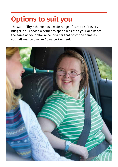# **Options to suit you**

The Motability Scheme has a wide range of cars to suit every budget. You choose whether to spend less than your allowance, the same as your allowance, or a car that costs the same as your allowance plus an Advance Payment.

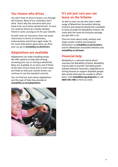#### **You choose who drives**

You don't have to drive to lease a car through the Scheme. Many of our customers don't drive. That's why the insurance with your lease is for up to three named drivers. So your car could be driven by a family member, friend or carer, as long as it's for your benefit.

As with most car insurance, there are some restrictions in terms of convictions, endorsements and drivers aged under 25. For more information about who can drive your car, go to **motability.co.uk/drivers**.

#### **Adaptations are available**

Adaptations can make travelling easier. We offer options to help with driving, accessing your car, or storing a wheelchair. Many are available at no extra cost if fitted at the start of your lease and in most cases are fitted so that your named drivers can continue to use the standard controls.

You can find out more about adaptations and the type of help they provide at **motability.co.uk/adaptations**.

#### **It's not just cars you can lease on the Scheme**

As well as new cars we also have a wide range of Wheelchair Accessible Vehicles, scooters and powered wheelchairs available to lease through the Motability Scheme. All come with the same all-inclusive package you get with a car.

Find out more about small, medium and large scooter models and powered wheelchairs at **motability.co.uk/scooters** and for Wheelchair Accessible Vehicles visit **motability.co.uk/wavs**.

#### **Financial help**

Motability is a national charity which oversees the Motability Scheme. Motability may be able to provide charitable grants towards Advance Payments, adaptations or driving lessons to support disabled people who would otherwise be unable to afford them. Visit **motability.org.uk/grants** or call **0800 500 3186** to find out more.

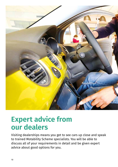

## **Expert advice from our dealers**

Visiting dealerships means you get to see cars up close and speak to trained Motability Scheme specialists. You will be able to discuss all of your requirements in detail and be given expert advice about good options for you.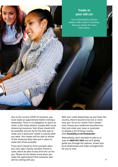# **Trade-in your old car** Lots of Motability Scheme dealers offer trade-in facilities. Ask your dealer for more information.

Due to the current COVID-19 situation, you must make an appointment before visiting a dealership. There is no obligation to place an order, it just helps dealers comply with social distancing measures. Test drives should still be available and are by far the best way to make sure a particular model is exactly what you want. Your dealer will be able to advise of the measures they have put in place to make test drives possible.

If you don't intend to drive yourself, when you visit, take a family member, friend or carer, who'll be able to test drive the car for you. Please let the dealer know when you make the appointment that someone else will be coming with you.

With over 4,500 dealerships up and down the country, there's bound to be one or more near you. Go to our online 'find a dealer' tool, choose your preferred manufacturer, then just enter your town or postcode to display a list of those nearby. Visit **motability.co.uk/findadealer**.

Alternatively, don't hesitate to talk to us now on **0800 093 1000** and we'll gladly guide you through the options, locate your local dealerships and make arrangements for you to visit.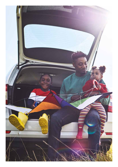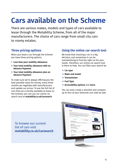# **Cars available on the Scheme**

There are various makes, models and types of cars available to lease through the Motability Scheme, from all of the major manufacturers. The choice of cars range from small city cars to roomy estates.

#### **Three pricing options**

When you lease a car through the Scheme you have three pricing options.

- **1 Less than your mobility allowance.**
- **2 Your total mobility allowance with no Advance Payment.**
- **3 Your total mobility allowance plus an Advance Payment.**

To make sure we're always offering you the best possible value for money, every three months we negotiate with manufacturers and update our prices. To see the full list of cars that are currently available to lease on the Scheme, you can use our online car search tool at **motability.co.uk/carsearch**

#### **Using the online car search tool**

We know that choosing a car is a big decision, and sometimes it can be overwhelming to find the right car for your needs. Therefore, our online car search tool is there to help. You can filter your search by:

- **→ Car type**
- **→ Make and model**
- **→ Transmission**
- **→ Fuel Type**
- **→ Accessibility options** and **more**.

You can even create a shortlist and compare up to four of your favourite cars side by side.

To browse our current list of cars visit **motability.co.uk/carsearch**

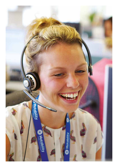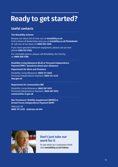# **Ready to get started?**

#### **Useful contacts**

#### **The Motability Scheme**

Browse our latest list of new cars at **motability.co.uk** Find a choice of dealerships near you at **motability.co.uk/findadealer**  Or call one of our team on **0800 093 1000**

If you have specialist Minicom equipment, please call our text phone **0300 037 0100**

For charitable grants, please call Motability, the Charity, on **0800 500 3186**

**Disability Living Allowance (DLA) or Personal Independence Payment (PIP) / Questions about your allowance** 

#### **Department for Work and Pensions:**

Disability Living Allowance: **0800 121 4600** Personal Independence Payment: **0800 121 4433 dwp.gov.uk** 

#### **Department for Communities (NI)**

Disability Living Allowance: **0800 587 0912** Personal Independence Payment: **0800 587 0932 communities-ni.gov.uk**

#### 

**War Pensioners' Mobility Supplement (WPMS) or Armed Forces Independence Payment (AFIP)**

Veterans UK **0808 191 4218 veterans-uk.info**



#### **Don't just take our word for it**

To see what our customers think visit **motability.co.uk/videos**.